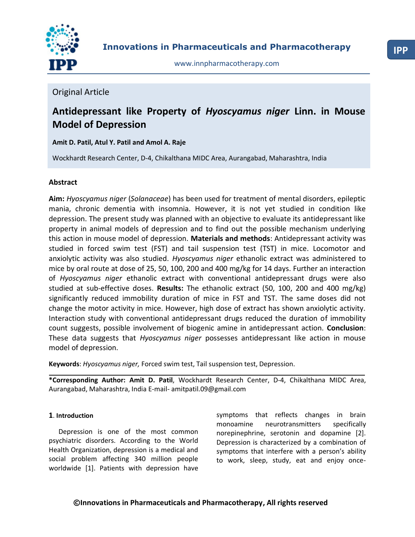

## Original Article

# **Antidepressant like Property of** *Hyoscyamus niger* **Linn. in Mouse Model of Depression**

## **Amit D. Patil, Atul Y. Patil and Amol A. Raje**

Wockhardt Research Center, D-4, Chikalthana MIDC Area, Aurangabad, Maharashtra, India

## **Abstract**

**Aim:** *Hyoscyamus niger* (*Solanaceae*) has been used for treatment of mental disorders, epileptic mania, chronic dementia with insomnia. However, it is not yet studied in condition like depression. The present study was planned with an objective to evaluate its antidepressant like property in animal models of depression and to find out the possible mechanism underlying this action in mouse model of depression. **Materials and methods**: Antidepressant activity was studied in forced swim test (FST) and tail suspension test (TST) in mice. Locomotor and anxiolytic activity was also studied. *Hyoscyamus niger* ethanolic extract was administered to mice by oral route at dose of 25, 50, 100, 200 and 400 mg/kg for 14 days. Further an interaction of *Hyoscyamus niger* ethanolic extract with conventional antidepressant drugs were also studied at sub-effective doses. **Results:** The ethanolic extract (50, 100, 200 and 400 mg/kg) significantly reduced immobility duration of mice in FST and TST. The same doses did not change the motor activity in mice. However, high dose of extract has shown anxiolytic activity. Interaction study with conventional antidepressant drugs reduced the duration of immobility count suggests, possible involvement of biogenic amine in antidepressant action. **Conclusion**: These data suggests that *Hyoscyamus niger* possesses antidepressant like action in mouse model of depression.

**Keywords**: *Hyoscyamus niger,* Forced swim test, Tail suspension test, Depression.

**\*Corresponding Author: Amit D. Patil**, Wockhardt Research Center, D-4, Chikalthana MIDC Area, Aurangabad, Maharashtra, India E-mail- amitpatil.09@gmail.com

#### **1**. **Introduction**

Depression is one of the most common psychiatric disorders. According to the World Health Organization, depression is a medical and social problem affecting 340 million people worldwide [1]. Patients with depression have

symptoms that reflects changes in brain monoamine neurotransmitters specifically norepinephrine, serotonin and dopamine [2]. Depression is characterized by a combination of symptoms that interfere with a person's ability to work, sleep, study, eat and enjoy once-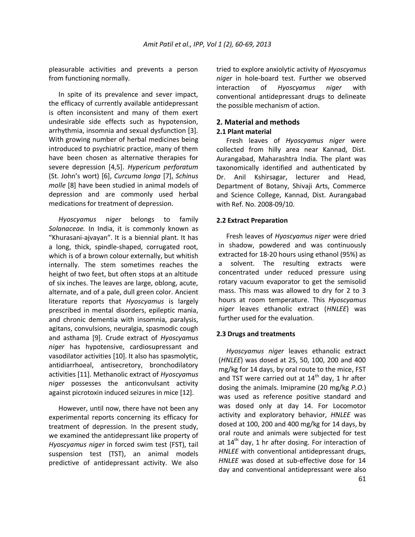pleasurable activities and prevents a person from functioning normally.

In spite of its prevalence and sever impact, the efficacy of currently available antidepressant is often inconsistent and many of them exert undesirable side effects such as hypotension, arrhythmia, insomnia and sexual dysfunction [3]. With growing number of herbal medicines being introduced to psychiatric practice, many of them have been chosen as alternative therapies for severe depression [4,5]. *Hypericum perforatum* (St. John's wort) \*6+, *Curcuma longa* [7], *Schinus molle* [8] have been studied in animal models of depression and are commonly used herbal medications for treatment of depression.

*Hyoscyamus niger* belongs to family *Solanaceae.* In India, it is commonly known as "Khurasani-ajvayan". It is a biennial plant. It has a long, thick, spindle-shaped, corrugated root, which is of a brown colour externally, but whitish internally. The stem sometimes reaches the height of two feet, but often stops at an altitude of six inches. The leaves are large, oblong, acute, alternate, and of a pale, dull green color. Ancient literature reports that *Hyoscyamus* is largely prescribed in mental disorders, epileptic mania, and chronic dementia with insomnia, paralysis, agitans, convulsions, neuralgia, spasmodic cough and asthama [9]. Crude extract of *Hyoscyamus niger* has hypotensive, cardiosupressant and vasodilator activities [10]. It also has spasmolytic, antidiarrhoeal, antisecretory, bronchodilatory activities [11]. Methanolic extract of *Hyoscyamus niger* possesses the anticonvulsant activity against picrotoxin induced seizures in mice [12].

However, until now, there have not been any experimental reports concerning its efficacy for treatment of depression. In the present study, we examined the antidepressant like property of *Hyoscyamus niger* in forced swim test (FST), tail suspension test (TST), an animal models predictive of antidepressant activity. We also

tried to explore anxiolytic activity of *Hyoscyamus niger* in hole-board test. Further we observed interaction of *Hyoscyamus niger* with conventional antidepressant drugs to delineate the possible mechanism of action.

## **2. Material and methods**

#### **2.1 Plant material**

Fresh leaves of *Hyoscyamus niger* were collected from hilly area near Kannad, Dist. Aurangabad, Maharashtra India. The plant was taxonomically identified and authenticated by Dr. Anil Kshirsagar, lecturer and Head, Department of Botany, Shivaji Arts, Commerce and Science College, Kannad, Dist. Aurangabad with Ref. No. 2008-09/10.

#### **2.2 Extract Preparation**

Fresh leaves of *Hyoscyamus niger* were dried in shadow, powdered and was continuously extracted for 18-20 hours using ethanol (95%) as a solvent. The resulting extracts were concentrated under reduced pressure using rotary vacuum evaporator to get the semisolid mass. This mass was allowed to dry for 2 to 3 hours at room temperature. This *Hyoscyamus niger* leaves ethanolic extract (*HNLEE*) was further used for the evaluation.

#### **2.3 Drugs and treatments**

*Hyoscyamus niger* leaves ethanolic extract (*HNLEE*) was dosed at 25, 50, 100, 200 and 400 mg/kg for 14 days, by oral route to the mice, FST and TST were carried out at  $14<sup>th</sup>$  day, 1 hr after dosing the animals. Imipramine (20 mg/kg *P.O*.) was used as reference positive standard and was dosed only at day 14. For Locomotor activity and exploratory behavior, *HNLEE* was dosed at 100, 200 and 400 mg/kg for 14 days, by oral route and animals were subjected for test at 14<sup>th</sup> day, 1 hr after dosing. For interaction of *HNLEE* with conventional antidepressant drugs, *HNLEE* was dosed at sub-effective dose for 14 day and conventional antidepressant were also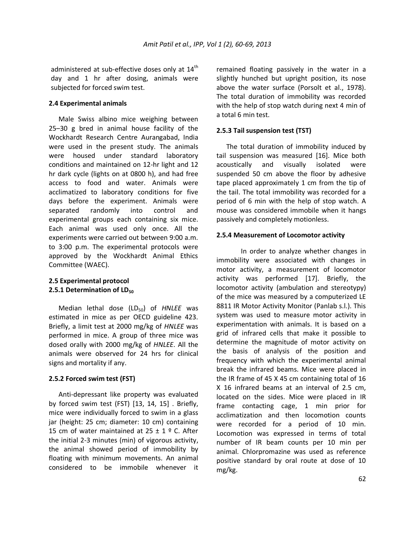administered at sub-effective doses only at  $14<sup>th</sup>$ day and 1 hr after dosing, animals were subjected for forced swim test.

#### **2.4 Experimental animals**

Male Swiss albino mice weighing between 25–30 g bred in animal house facility of the Wockhardt Research Centre Aurangabad, India were used in the present study. The animals were housed under standard laboratory conditions and maintained on 12-hr light and 12 hr dark cycle (lights on at 0800 h), and had free access to food and water. Animals were acclimatized to laboratory conditions for five days before the experiment. Animals were separated randomly into control and experimental groups each containing six mice. Each animal was used only once. All the experiments were carried out between 9:00 a.m. to 3:00 p.m. The experimental protocols were approved by the Wockhardt Animal Ethics Committee (WAEC).

### **2.5 Experimental protocol 2.5.1 Determination of LD<sub>50</sub>**

Median lethal dose (LD<sub>50</sub>) of *HNLEE* was estimated in mice as per OECD guideline 423. Briefly, a limit test at 2000 mg/kg of *HNLEE* was performed in mice. A group of three mice was dosed orally with 2000 mg/kg of *HNLEE*. All the animals were observed for 24 hrs for clinical signs and mortality if any.

## **2.5.2 Forced swim test (FST)**

Anti-depressant like property was evaluated by forced swim test (FST) [13, 14, 15] . Briefly, mice were individually forced to swim in a glass jar (height: 25 cm; diameter: 10 cm) containing 15 cm of water maintained at  $25 \pm 1$  º C. After the initial 2-3 minutes (min) of vigorous activity, the animal showed period of immobility by floating with minimum movements. An animal considered to be immobile whenever it

remained floating passively in the water in a slightly hunched but upright position, its nose above the water surface (Porsolt et al., 1978). The total duration of immobility was recorded with the help of stop watch during next 4 min of a total 6 min test.

### **2.5.3 Tail suspension test (TST)**

The total duration of immobility induced by tail suspension was measured [16]. Mice both acoustically and visually isolated were suspended 50 cm above the floor by adhesive tape placed approximately 1 cm from the tip of the tail. The total immobility was recorded for a period of 6 min with the help of stop watch. A mouse was considered immobile when it hangs passively and completely motionless.

#### **2.5.4 Measurement of Locomotor activity**

In order to analyze whether changes in immobility were associated with changes in motor activity, a measurement of locomotor activity was performed [17]. Briefly, the locomotor activity (ambulation and stereotypy) of the mice was measured by a computerized LE 8811 IR Motor Activity Monitor (Panlab s.l.). This system was used to measure motor activity in experimentation with animals. It is based on a grid of infrared cells that make it possible to determine the magnitude of motor activity on the basis of analysis of the position and frequency with which the experimental animal break the infrared beams. Mice were placed in the IR frame of 45 X 45 cm containing total of 16 X 16 infrared beams at an interval of 2.5 cm, located on the sides. Mice were placed in IR frame contacting cage, 1 min prior for acclimatization and then locomotion counts were recorded for a period of 10 min. Locomotion was expressed in terms of total number of IR beam counts per 10 min per animal. Chlorpromazine was used as reference positive standard by oral route at dose of 10 mg/kg.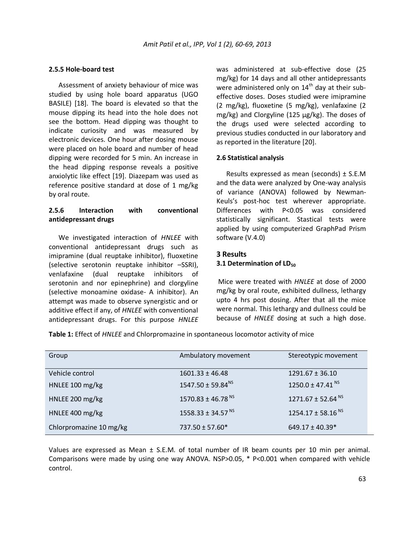#### **2.5.5 Hole-board test**

Assessment of anxiety behaviour of mice was studied by using hole board apparatus (UGO BASILE) [18]. The board is elevated so that the mouse dipping its head into the hole does not see the bottom. Head dipping was thought to indicate curiosity and was measured by electronic devices. One hour after dosing mouse were placed on hole board and number of head dipping were recorded for 5 min. An increase in the head dipping response reveals a positive anxiolytic like effect [19]. Diazepam was used as reference positive standard at dose of 1 mg/kg by oral route.

### **2.5.6 Interaction with conventional antidepressant drugs**

We investigated interaction of *HNLEE* with conventional antidepressant drugs such as imipramine (dual reuptake inhibitor), fluoxetine (selective serotonin reuptake inhibitor –SSRI), venlafaxine (dual reuptake inhibitors of serotonin and nor epinephrine) and clorgyline (selective monoamine oxidase- A inhibitor). An attempt was made to observe synergistic and or additive effect if any, of *HNLEE* with conventional antidepressant drugs. For this purpose *HNLEE* was administered at sub-effective dose (25 mg/kg) for 14 days and all other antidepressants were administered only on  $14<sup>th</sup>$  day at their subeffective doses. Doses studied were imipramine (2 mg/kg), fluoxetine (5 mg/kg), venlafaxine (2 mg/kg) and Clorgyline (125 µg/kg). The doses of the drugs used were selected according to previous studies conducted in our laboratory and as reported in the literature [20].

#### **2.6 Statistical analysis**

Results expressed as mean (seconds)  $\pm$  S.E.M and the data were analyzed by One-way analysis of variance (ANOVA) followed by Newman-Keuls's post-hoc test wherever appropriate. Differences with P<0.05 was considered statistically significant. Stastical tests were applied by using computerized GraphPad Prism software (V.4.0)

### **3 Results 3.1 Determination of LD**<sub>50</sub>

Mice were treated with *HNLEE* at dose of 2000 mg/kg by oral route, exhibited dullness, lethargy upto 4 hrs post dosing. After that all the mice were normal. This lethargy and dullness could be because of *HNLEE* dosing at such a high dose.

**Table 1:** Effect of *HNLEE* and Chlorpromazine in spontaneous locomotor activity of mice

| Group                   | Ambulatory movement               | Stereotypic movement          |
|-------------------------|-----------------------------------|-------------------------------|
| Vehicle control         | $1601.33 \pm 46.48$               | $1291.67 \pm 36.10$           |
| HNLEE 100 mg/kg         | $1547.50 \pm 59.84^{NS}$          | 1250.0 ± 47.41 $\text{NS}$    |
| HNLEE 200 mg/kg         | 1570.83 ± 46.78 <sup>NS</sup>     | 1271.67 ± 52.64 <sup>NS</sup> |
| HNLEE 400 mg/kg         | $1558.33 \pm 34.57$ <sup>NS</sup> | 1254.17 ± 58.16 <sup>NS</sup> |
| Chlorpromazine 10 mg/kg | 737.50 ± 57.60*                   | $649.17 \pm 40.39*$           |

Values are expressed as Mean ± S.E.M. of total number of IR beam counts per 10 min per animal. Comparisons were made by using one way ANOVA. NSP>0.05, \* P<0.001 when compared with vehicle control.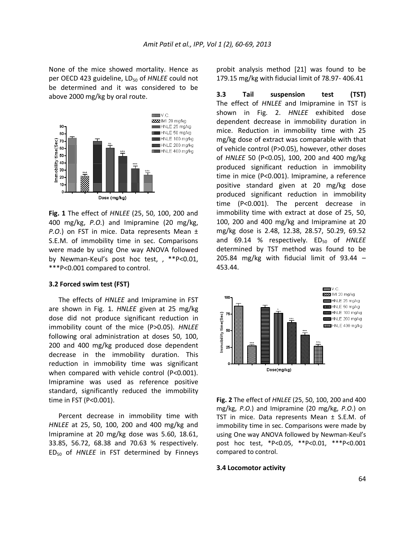None of the mice showed mortality. Hence as per OECD 423 guideline, LD<sub>50</sub> of *HNLEE* could not be determined and it was considered to be above 2000 mg/kg by oral route.



**Fig. 1** The effect of *HNLEE* (25, 50, 100, 200 and 400 mg/kg, *P.O*.) and Imipramine (20 mg/kg, *P.O*.) on FST in mice. Data represents Mean ± S.E.M. of immobility time in sec. Comparisons were made by using One way ANOVA followed by Newman-Keul's post hoc test, , \*\*P<0.01, \*\*\*P<0.001 compared to control.

#### **3.2 Forced swim test (FST)**

The effects of *HNLEE* and Imipramine in FST are shown in Fig. 1. *HNLEE* given at 25 mg/kg dose did not produce significant reduction in immobility count of the mice (P>0.05). *HNLEE* following oral administration at doses 50, 100, 200 and 400 mg/kg produced dose dependent decrease in the immobility duration. This reduction in immobility time was significant when compared with vehicle control (P<0.001). Imipramine was used as reference positive standard, significantly reduced the immobility time in FST (P<0.001).

Percent decrease in immobility time with *HNLEE* at 25, 50, 100, 200 and 400 mg/kg and Imipramine at 20 mg/kg dose was 5.60, 18.61, 33.85, 56.72, 68.38 and 70.63 % respectively. ED<sup>50</sup> of *HNLEE* in FST determined by Finneys probit analysis method [21] was found to be 179.15 mg/kg with fiducial limit of 78.97- 406.41

**3.3 Tail suspension test (TST)** The effect of *HNLEE* and Imipramine in TST is shown in Fig. 2. *HNLEE* exhibited dose dependent decrease in immobility duration in mice. Reduction in immobility time with 25 mg/kg dose of extract was comparable with that of vehicle control (P>0.05), however, other doses of *HNLEE* 50 (P<0.05), 100, 200 and 400 mg/kg produced significant reduction in immobility time in mice (P<0.001). Imipramine, a reference positive standard given at 20 mg/kg dose produced significant reduction in immobility time (P<0.001). The percent decrease in immobility time with extract at dose of 25, 50, 100, 200 and 400 mg/kg and Imipramine at 20 mg/kg dose is 2.48, 12.38, 28.57, 50.29, 69.52 and 69.14 % respectively. ED<sub>50</sub> of HNLEE determined by TST method was found to be 205.84 mg/kg with fiducial limit of 93.44 – 453.44.



**Fig. 2** The effect of *HNLEE* (25, 50, 100, 200 and 400 mg/kg, *P.O*.) and Imipramine (20 mg/kg, *P.O*.) on TST in mice. Data represents Mean ± S.E.M. of immobility time in sec. Comparisons were made by using One way ANOVA followed by Newman-Keul's post hoc test, \*P<0.05, \*\*P<0.01, \*\*\*P<0.001 compared to control.

#### **3.4 Locomotor activity**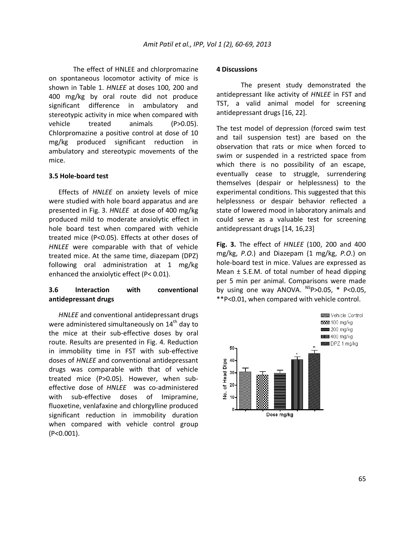The effect of HNLEE and chlorpromazine on spontaneous locomotor activity of mice is shown in Table 1. *HNLEE* at doses 100, 200 and 400 mg/kg by oral route did not produce significant difference in ambulatory and stereotypic activity in mice when compared with vehicle treated animals (P>0.05). Chlorpromazine a positive control at dose of 10 mg/kg produced significant reduction in ambulatory and stereotypic movements of the mice.

#### **3.5 Hole-board test**

Effects of *HNLEE* on anxiety levels of mice were studied with hole board apparatus and are presented in Fig. 3. *HNLEE* at dose of 400 mg/kg produced mild to moderate anxiolytic effect in hole board test when compared with vehicle treated mice (P<0.05). Effects at other doses of *HNLEE* were comparable with that of vehicle treated mice. At the same time, diazepam (DPZ) following oral administration at 1 mg/kg enhanced the anxiolytic effect (P< 0.01).

#### **3.6 Interaction with conventional antidepressant drugs**

*HNLEE* and conventional antidepressant drugs were administered simultaneously on  $14<sup>th</sup>$  day to the mice at their sub-effective doses by oral route. Results are presented in Fig. 4. Reduction in immobility time in FST with sub-effective doses of *HNLEE* and conventional antidepressant drugs was comparable with that of vehicle treated mice (P>0.05). However, when subeffective dose of *HNLEE* was co-administered with sub-effective doses of Imipramine, fluoxetine, venlafaxine and chlorgylline produced significant reduction in immobility duration when compared with vehicle control group (P<0.001).

#### **4 Discussions**

The present study demonstrated the antidepressant like activity of *HNLEE* in FST and TST, a valid animal model for screening antidepressant drugs [16, 22].

The test model of depression (forced swim test and tail suspension test) are based on the observation that rats or mice when forced to swim or suspended in a restricted space from which there is no possibility of an escape, eventually cease to struggle, surrendering themselves (despair or helplessness) to the experimental conditions. This suggested that this helplessness or despair behavior reflected a state of lowered mood in laboratory animals and could serve as a valuable test for screening antidepressant drugs [14, 16,23]

**Fig. 3.** The effect of *HNLEE* (100, 200 and 400 mg/kg, *P.O*.) and Diazepam (1 mg/kg, *P.O*.) on hole-board test in mice. Values are expressed as Mean ± S.E.M. of total number of head dipping per 5 min per animal. Comparisons were made by using one way ANOVA.  $^{NS}P>0.05$ , \* P<0.05, \*\*P<0.01, when compared with vehicle control.

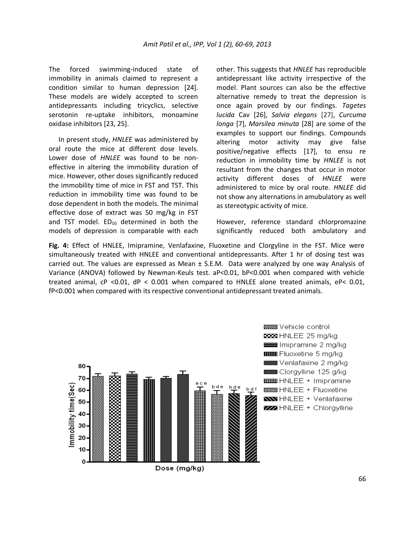The forced swimming-induced state of immobility in animals claimed to represent a condition similar to human depression [24]. These models are widely accepted to screen antidepressants including tricyclics, selective serotonin re-uptake inhibitors, monoamine oxidase inhibitors [23, 25].

In present study, *HNLEE* was administered by oral route the mice at different dose levels. Lower dose of *HNLEE* was found to be noneffective in altering the immobility duration of mice. However, other doses significantly reduced the immobility time of mice in FST and TST. This reduction in immobility time was found to be dose dependent in both the models. The minimal effective dose of extract was 50 mg/kg in FST and TST model.  $ED_{50}$  determined in both the models of depression is comparable with each

other. This suggests that *HNLEE* has reproducible antidepressant like activity irrespective of the model. Plant sources can also be the effective alternative remedy to treat the depression is once again proved by our findings. *Tagetes lucida* Cav [26], *Salvia elegans* [27], *Curcuma longa* [7], *Marsilea minuta* [28] are some of the examples to support our findings. Compounds altering motor activity may give false positive/negative effects [17], to ensu re reduction in immobility time by *HNLEE* is not resultant from the changes that occur in motor activity different doses of *HNLEE* were administered to mice by oral route. *HNLEE* did not show any alternations in amubulatory as well as stereotypic activity of mice.

However, reference standard chlorpromazine significantly reduced both ambulatory and

**Fig. 4:** Effect of HNLEE, Imipramine, Venlafaxine, Fluoxetine and Clorgyline in the FST. Mice were simultaneously treated with HNLEE and conventional antidepressants. After 1 hr of dosing test was carried out. The values are expressed as Mean  $\pm$  S.E.M. Data were analyzed by one way Analysis of Variance (ANOVA) followed by Newman-Keuls test. aP<0.01, bP<0.001 when compared with vehicle treated animal, cP <0.01, dP < 0.001 when compared to HNLEE alone treated animals, eP< 0.01, fP<0.001 when compared with its respective conventional antidepressant treated animals.



Dose (mg/kg)

**BESSER** Vehicle control **BEER** HNLEE 25 mg/kg Imipramine 2 mg/kg **IIIIIII** Fluoxetine 5 mg/kg **2222** Venlafaxine 2 mg/kg **SSSSS** Clorgylline 125 g/kg **COMO** HNLEE + Imipramine **88888 HNLEE + Fluoxetine NO HNLEE + Venlafaxine ZZZ** HNLEE + Chlorgylline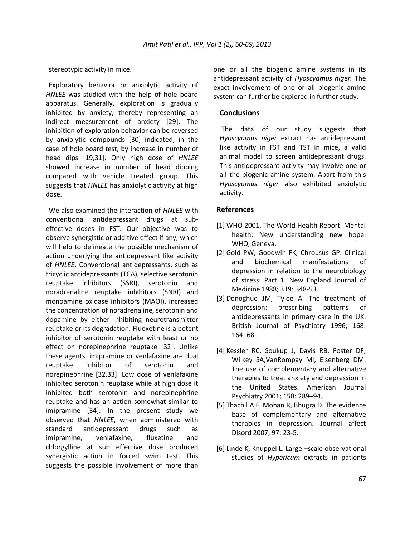stereotypic activity in mice.

Exploratory behavior or anxiolytic activity of *HNLEE* was studied with the help of hole board apparatus. Generally, exploration is gradually inhibited by anxiety, thereby representing an indirect measurement of anxiety [29]. The inhibition of exploration behavior can be reversed by anxiolytic compounds [30] indicated, in the case of hole board test, by increase in number of head dips [19,31]. Only high dose of *HNLEE* showed increase in number of head dipping compared with vehicle treated group. This suggests that *HNLEE* has anxiolytic activity at high dose.

We also examined the interaction of *HNLEE* with conventional antidepressant drugs at subeffective doses in FST. Our objective was to observe synergistic or additive effect if any, which will help to delineate the possible mechanism of action underlying the antidepressant like activity of *HNLEE*. Conventional antidepressants, such as tricyclic antidepressants (TCA), selective serotonin reuptake inhibitors (SSRI), serotonin and noradrenaline reuptake inhibitors (SNRI) and monoamine oxidase inhibitors (MAOI), increased the concentration of noradrenaline, serotonin and dopamine by either inhibiting neurotransmitter reuptake or its degradation. Fluoxetine is a potent inhibitor of serotonin reuptake with least or no effect on norepinephrine reuptake [32]. Unlike these agents, imipramine or venlafaxine are dual reuptake inhibitor of serotonin and norepinephrine [32,33]. Low dose of venlafaxine inhibited serotonin reuptake while at high dose it inhibited both serotonin and norepinephrine reuptake and has an action somewhat similar to imipramine [34]. In the present study we observed that *HNLEE*, when administered with standard antidepressant drugs such as imipramine, venlafaxine, fluxetine and chlorgylline at sub effective dose produced synergistic action in forced swim test. This suggests the possible involvement of more than

one or all the biogenic amine systems in its antidepressant activity of *Hyoscyamus niger.* The exact involvement of one or all biogenic amine system can further be explored in further study.

#### **Conclusions**

The data of our study suggests that *Hyoscyamus niger* extract has antidepressant like activity in FST and TST in mice, a valid animal model to screen antidepressant drugs. This antidepressant activity may involve one or all the biogenic amine system. Apart from this *Hyoscyamus niger* also exhibited anxiolytic activity.

#### **References**

- [1] WHO 2001. The World Health Report. Mental health: New understanding new hope. WHO, Geneva.
- [2] Gold PW, Goodwin FK, Chrousus GP. Clinical and biochemical manifestations of depression in relation to the neurobiology of stress: Part 1. New England Journal of Medicine 1988; 319: 348-53.
- [3] Donoghue JM, Tylee A. The treatment of depression: prescribing patterns of antidepressants in primary care in the UK. British Journal of Psychiatry 1996; 168: 164–68.
- [4] Kessler RC, Soukup J, Davis RB, Foster DF, Wilkey SA,VanRompay MI, Eisenberg DM. The use of complementary and alternative therapies to treat anxiety and depression in the United States. American Journal Psychiatry 2001; 158: 289–94.
- [5] Thachil A F, Mohan R, Bhugra D. The evidence base of complementary and alternative therapies in depression. Journal affect Disord 2007; 97: 23-5.
- [6] Linde K, Knuppel L. Large –scale observational studies of *Hypericum* extracts in patients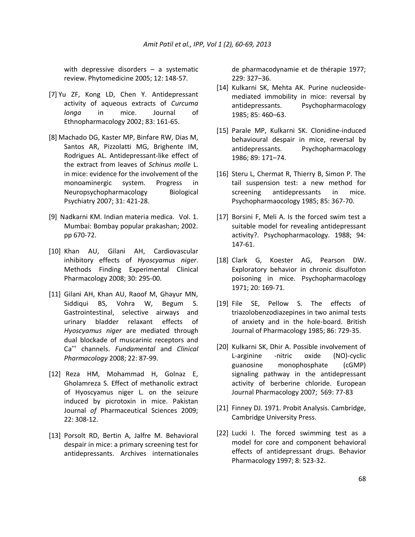with depressive disorders  $-$  a systematic review. Phytomedicine 2005; 12: 148-57.

- [7] Yu ZF, Kong LD, Chen Y. Antidepressant activity of aqueous extracts of *Curcuma longa* in mice. Journal of Ethnopharmacology 2002; 83: 161-65.
- [8] Machado DG, Kaster MP, Binfare RW, Dias M, Santos AR, Pizzolatti MG, Brighente IM, Rodrigues AL. Antidepressant-like effect of the extract from leaves of *Schinus molle* L. in mice: evidence for the involvement of the monoaminergic system. Progress in Neuropsychopharmacology Biological Psychiatry 2007; 31: 421-28.
- [9] Nadkarni KM. Indian materia medica. Vol. 1. Mumbai: Bombay popular prakashan; 2002. pp 670-72.
- [10] Khan AU, Gilani AH, Cardiovascular inhibitory effects of *Hyoscyamus niger*. Methods Finding Experimental Clinical Pharmacology 2008; 30: 295-00.
- [11] Gilani AH, Khan AU, Raoof M, Ghayur MN, Siddiqui BS, Vohra W, Begum S. Gastrointestinal, selective airways and urinary bladder relaxant effects of *Hyoscyamus niger* are mediated through dual blockade of muscarinic receptors and Ca++ channels. *Fundamental* and *Clinical Pharmacology* 2008; 22: 87-99.
- [12] Reza HM, Mohammad H, Golnaz E, Gholamreza S. Effect of methanolic extract of Hyoscyamus niger L. on the seizure induced by picrotoxin in mice. Pakistan Journal *of* Pharmaceutical Sciences 2009; 22: 308-12.
- [13] Porsolt RD, Bertin A, Jalfre M. Behavioral despair in mice: a primary screening test for antidepressants. [Archives internationales](http://www.unboundmedicine.com/medline/ebm/record/9125002/abstract/ebm/journal/Archives_internationales_de_pharmacodynamie_et_de_th%C3%A9rapie)

[de pharmacodynamie et de thérapie](http://www.unboundmedicine.com/medline/ebm/record/9125002/abstract/ebm/journal/Archives_internationales_de_pharmacodynamie_et_de_th%C3%A9rapie) 1977; 229: 327–36.

- [14] Kulkarni SK, Mehta AK. Purine nucleosidemediated immobility in mice: reversal by antidepressants. Psychopharmacology 1985; 85: 460–63.
- [15] Parale MP, Kulkarni SK. Clonidine-induced behavioural despair in mice, reversal by antidepressants. Psychopharmacology 1986; 89: 171–74.
- [16] Steru L, Chermat R, Thierry B, Simon P. The tail suspension test: a new method for screening antidepressants in mice. Psychopharmaocology 1985; 85: 367-70.
- [17] Borsini F, Meli A. Is the forced swim test a suitable model for revealing antidepressant activity?. Psychopharmacology. 1988; 94: 147-61.
- [18] Clark G, Koester AG, Pearson DW. Exploratory behavior in chronic disulfoton poisoning in mice. Psychopharmacology 1971; 20: 169-71.
- [19] File SE, Pellow S. The effects of triazolobenzodiazepines in two animal tests of anxiety and in the hole-board. British Journal of Pharmacology 1985; 86: 729-35.
- [20] Kulkarni SK, Dhir A. Possible involvement of L-arginine -nitric oxide (NO)-cyclic guanosine monophosphate (cGMP) signaling pathway in the antidepressant activity of berberine chloride. European Journal Pharmacology 2007; 569: 77-83
- [21] Finney DJ. 1971. Probit Analysis. Cambridge, Cambridge University Press.
- [22] Lucki I. The forced swimming test as a model for core and component behavioral effects of antidepressant drugs. Behavior Pharmacology 1997; 8: 523-32.